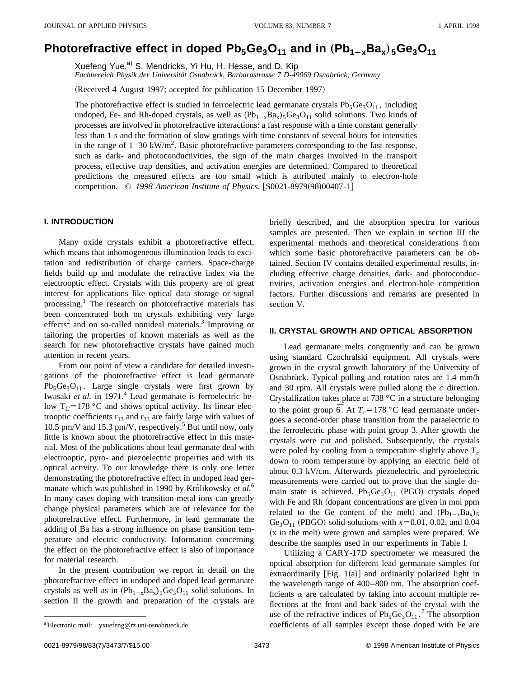# **Photorefractive effect in doped**  $Pb_5Ge_3O_{11}$  **and in**  $(Pb_{1-x}Ba_x)_{5}Ge_3O_{11}$

Xuefeng Yue,<sup>a)</sup> S. Mendricks, Yi Hu, H. Hesse, and D. Kip Fachbereich Physik der Universität Osnabrück, Barbarastrasse 7 D-49069 Osnabrück, Germany

(Received 4 August 1997; accepted for publication 15 December 1997)

The photorefractive effect is studied in ferroelectric lead germanate crystals  $Pb_5Ge_3O_{11}$ , including undoped, Fe- and Rh-doped crystals, as well as  $(Pb_{1-x}Ba_x)$ <sub>5</sub>Ge<sub>3</sub>O<sub>11</sub> solid solutions. Two kinds of processes are involved in photorefractive interactions: a fast response with a time constant generally less than 1 s and the formation of slow gratings with time constants of several hours for intensities in the range of  $1-30 \text{ kW/m}^2$ . Basic photorefractive parameters corresponding to the fast response, such as dark- and photoconductivities, the sign of the main charges involved in the transport process, effective trap densities, and activation energies are determined. Compared to theoretical predictions the measured effects are too small which is attributed mainly to electron-hole competition. © 1998 American Institute of Physics. [S0021-8979(98)00407-1]

# **I. INTRODUCTION**

Many oxide crystals exhibit a photorefractive effect, which means that inhomogeneous illumination leads to excitation and redistribution of charge carriers. Space-charge fields build up and modulate the refractive index via the electrooptic effect. Crystals with this property are of great interest for applications like optical data storage or signal processing.<sup>1</sup> The research on photorefractive materials has been concentrated both on crystals exhibiting very large effects<sup>2</sup> and on so-called nonideal materials.<sup>3</sup> Improving or tailoring the properties of known materials as well as the search for new photorefractive crystals have gained much attention in recent years.

From our point of view a candidate for detailed investigations of the photorefractive effect is lead germanate  $Pb_5Ge_3O_{11}$ . Large single crystals were first grown by Iwasaki *et al.* in 1971.<sup>4</sup> Lead germanate is ferroelectric below  $T_C$ =178 °C and shows optical activity. Its linear electrooptic coefficients  $r_{13}$  and  $r_{33}$  are fairly large with values of 10.5 pm/V and 15.3 pm/V, respectively.<sup>5</sup> But until now, only little is known about the photorefractive effect in this material. Most of the publications about lead germanate deal with electrooptic, pyro- and piezoelectric properties and with its optical activity. To our knowledge there is only one letter demonstrating the photorefractive effect in undoped lead germanate which was published in 1990 by Królikowsky *et al.*<sup>6</sup> In many cases doping with transition-metal ions can greatly change physical parameters which are of relevance for the photorefractive effect. Furthermore, in lead germanate the adding of Ba has a strong influence on phase transition temperature and electric conductivity. Information concerning the effect on the photorefractive effect is also of importance for material research.

In the present contribution we report in detail on the photorefractive effect in undoped and doped lead germanate crystals as well as in  $(Pb_{1-x}Ba_x)5Ge_3O_{11}$  solid solutions. In section II the growth and preparation of the crystals are briefly described, and the absorption spectra for various samples are presented. Then we explain in section III the experimental methods and theoretical considerations from which some basic photorefractive parameters can be obtained. Section IV contains detailed experimental results, including effective charge densities, dark- and photoconductivities, activation energies and electron-hole competition factors. Further discussions and remarks are presented in section V.

# **II. CRYSTAL GROWTH AND OPTICAL ABSORPTION**

Lead germanate melts congruently and can be grown using standard Czochralski equipment. All crystals were grown in the crystal growth laboratory of the University of Osnabrück. Typical pulling and rotation rates are 1.4 mm/h and 30 rpm. All crystals were pulled along the *c* direction. Crystallization takes place at 738 °C in a structure belonging to the point group  $\overline{6}$ . At  $T_c = 178$  °C lead germanate undergoes a second-order phase transition from the paraelectric to the ferroelectric phase with point group 3. After growth the crystals were cut and polished. Subsequently, the crystals were poled by cooling from a temperature slightly above  $T_c$ down to room temperature by applying an electric field of about 0.3 kV/cm. Afterwards piezoelectric and pyroelectric measurements were carried out to prove that the single domain state is achieved.  $Pb_5Ge_3O_{11}$  (PGO) crystals doped with Fe and Rh (dopant concentrations are given in mol ppm related to the Ge content of the melt) and  $(Pb_{1-x}Ba_x)$ 5 Ge<sub>3</sub>O<sub>11</sub> (PBGO) solid solutions with  $x=0.01, 0.02$ , and 0.04  $(x$  in the melt) were grown and samples were prepared. We describe the samples used in our experiments in Table I.

Utilizing a CARY-17D spectrometer we measured the optical absorption for different lead germanate samples for extraordinarily  $[Fig. 1(a)]$  and ordinarily polarized light in the wavelength range of 400–800 nm. The absorption coefficients  $\alpha$  are calculated by taking into account multiple reflections at the front and back sides of the crystal with the use of the refractive indices of  $Pb_5Ge_3O_{11}$ .<sup>7</sup> The absorption coefficients of all samples except those doped with Fe are

a)Electronic mail: yxuefeng@rz.uni-osnabrueck.de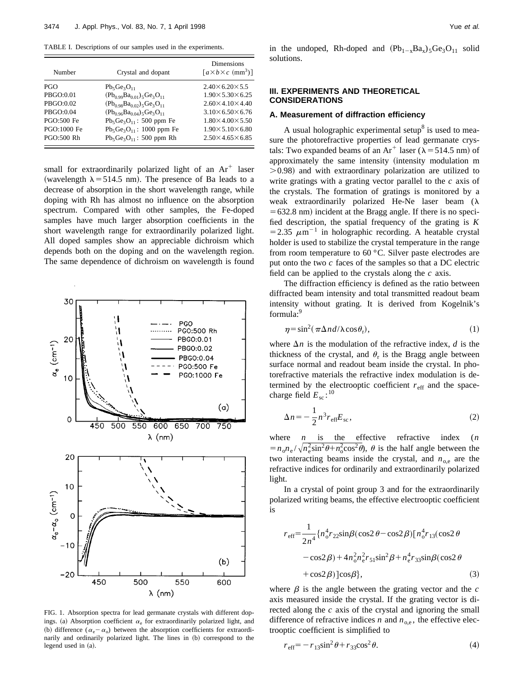TABLE I. Descriptions of our samples used in the experiments.

| Number            | Crystal and dopant                           | <b>Dimensions</b><br>$\left[ a \times b \times c \right.$ (mm <sup>3</sup> ) <sup>]</sup> |  |  |
|-------------------|----------------------------------------------|-------------------------------------------------------------------------------------------|--|--|
| <b>PGO</b>        | $Pb_5Ge_3O_{11}$                             | $2.40\times 6.20\times 5.5$                                                               |  |  |
| PBGO:0.01         | $(Pb_{0.99}Ba_{0.01})_5Ge_3O_{11}$           | $1.90 \times 5.30 \times 6.25$                                                            |  |  |
| PBGO:0.02         | $(Pb_0 \text{98}Ba_0 \text{02})_5Ge_3O_{11}$ | $2.60\times4.10\times4.40$                                                                |  |  |
| PBGO:0.04         | $(Pb_{0.96}Ba_{0.04})_5Ge_3O_{11}$           | $3.10\times 6.50\times 6.76$                                                              |  |  |
| PGO:500 Fe        | $Pb_5Ge_3O_{11}$ : 500 ppm Fe                | $1.80\times4.00\times5.50$                                                                |  |  |
| PGO:1000 Fe       | $Pb_5Ge_3O_{11}$ : 1000 ppm Fe               | $1.90 \times 5.10 \times 6.80$                                                            |  |  |
| <b>PGO:500 Rh</b> | $Pb_5Ge_3O_{11}$ : 500 ppm Rh                | $2.50\times4.65\times6.85$                                                                |  |  |

small for extraordinarily polarized light of an  $Ar^+$  laser (wavelength  $\lambda$  = 514.5 nm). The presence of Ba leads to a decrease of absorption in the short wavelength range, while doping with Rh has almost no influence on the absorption spectrum. Compared with other samples, the Fe-doped samples have much larger absorption coefficients in the short wavelength range for extraordinarily polarized light. All doped samples show an appreciable dichroism which depends both on the doping and on the wavelength region. The same dependence of dichroism on wavelength is found



FIG. 1. Absorption spectra for lead germanate crystals with different dopings. (a) Absorption coefficient  $\alpha_e$  for extraordinarily polarized light, and (b) difference ( $\alpha_e - \alpha_o$ ) between the absorption coefficients for extraordinarily and ordinarily polarized light. The lines in (b) correspond to the legend used in (a).

in the undoped, Rh-doped and  $(Pb_{1-x}Ba_x)5Ge_3O_{11}$  solid solutions.

# **III. EXPERIMENTS AND THEORETICAL CONSIDERATIONS**

## **A. Measurement of diffraction efficiency**

A usual holographic experimental setup<sup>8</sup> is used to measure the photorefractive properties of lead germanate crystals: Two expanded beams of an Ar<sup>+</sup> laser ( $\lambda$  = 514.5 nm) of approximately the same intensity (intensity modulation m  $>0.98$ ) and with extraordinary polarization are utilized to write gratings with a grating vector parallel to the *c* axis of the crystals. The formation of gratings is monitored by a weak extraordinarily polarized He-Ne laser beam  $(\lambda)$  $=632.8$  nm) incident at the Bragg angle. If there is no specified description, the spatial frequency of the grating is *K* =2.35  $\mu$ m<sup>-1</sup> in holographic recording. A heatable crystal holder is used to stabilize the crystal temperature in the range from room temperature to 60 °C. Silver paste electrodes are put onto the two *c* faces of the samples so that a DC electric field can be applied to the crystals along the *c* axis.

The diffraction efficiency is defined as the ratio between diffracted beam intensity and total transmitted readout beam intensity without grating. It is derived from Kogelnik's formula:<sup>9</sup>

$$
\eta = \sin^2(\pi \Delta n d / \lambda \cos \theta_r),\tag{1}
$$

where  $\Delta n$  is the modulation of the refractive index, *d* is the thickness of the crystal, and  $\theta_r$  is the Bragg angle between surface normal and readout beam inside the crystal. In photorefractive materials the refractive index modulation is determined by the electrooptic coefficient  $r_{\text{eff}}$  and the spacecharge field  $E_{\text{sc}}$ :<sup>10</sup>

$$
\Delta n = -\frac{1}{2} n^3 r_{\text{eff}} E_{\text{sc}},\tag{2}
$$

where *n* is the effective refractive index (*n*  $= n_0 n_e / \sqrt{n_e^2 \sin^2 \theta + n_0^2 \cos^2 \theta}$ ,  $\theta$  is the half angle between the two interacting beams inside the crystal, and  $n_{o,e}$  are the refractive indices for ordinarily and extraordinarily polarized light.

In a crystal of point group 3 and for the extraordinarily polarized writing beams, the effective electrooptic coefficient is

$$
r_{\text{eff}} = \frac{1}{2n^4} \{ n_0^4 r_{22} \sin\beta (\cos 2\theta - \cos 2\beta) [n_0^4 r_{13} (\cos 2\theta
$$
  

$$
- \cos 2\beta) + 4 n_0^2 n_e^2 r_{51} \sin^2 \beta + n_e^4 r_{33} \sin\beta (\cos 2\theta
$$
  

$$
+ \cos 2\beta) ] \cos \beta \},
$$
 (3)

where  $\beta$  is the angle between the grating vector and the  $c$ axis measured inside the crystal. If the grating vector is directed along the *c* axis of the crystal and ignoring the small difference of refractive indices *n* and  $n_{o,e}$ , the effective electrooptic coefficient is simplified to

$$
r_{\text{eff}} = -r_{13}\sin^2\theta + r_{33}\cos^2\theta. \tag{4}
$$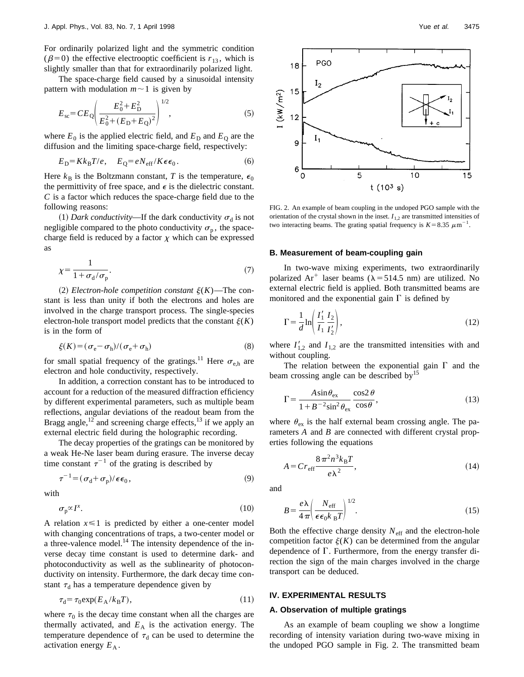For ordinarily polarized light and the symmetric condition ( $\beta$ =0) the effective electrooptic coefficient is  $r_{13}$ , which is slightly smaller than that for extraordinarily polarized light.

The space-charge field caused by a sinusoidal intensity pattern with modulation  $m \sim 1$  is given by

$$
E_{\rm sc} = CE_{\rm Q} \left( \frac{E_0^2 + E_{\rm D}^2}{E_0^2 + (E_{\rm D} + E_{\rm Q})^2} \right)^{1/2},\tag{5}
$$

where  $E_0$  is the applied electric field, and  $E_D$  and  $E_Q$  are the diffusion and the limiting space-charge field, respectively:

$$
E_{\rm D} = K k_{\rm B} T / e, \quad E_{\rm Q} = e N_{\rm eff} / K \epsilon \epsilon_0. \tag{6}
$$

Here  $k_B$  is the Boltzmann constant, *T* is the temperature,  $\epsilon_0$ the permittivity of free space, and  $\epsilon$  is the dielectric constant. *C* is a factor which reduces the space-charge field due to the following reasons:

(1) *Dark conductivity*—If the dark conductivity  $\sigma_d$  is not negligible compared to the photo conductivity  $\sigma_p$ , the spacecharge field is reduced by a factor  $\chi$  which can be expressed as

$$
\chi = \frac{1}{1 + \sigma_{\rm d}/\sigma_{\rm p}}.\tag{7}
$$

 $(2)$  *Electron-hole competition constant*  $\xi(K)$ —The constant is less than unity if both the electrons and holes are involved in the charge transport process. The single-species electron-hole transport model predicts that the constant  $\xi(K)$ is in the form of

$$
\xi(K) = (\sigma_{\rm e} - \sigma_{\rm h})/(\sigma_{\rm e} + \sigma_{\rm h})
$$
\n(8)

for small spatial frequency of the gratings.<sup>11</sup> Here  $\sigma_{e,h}$  are electron and hole conductivity, respectively.

In addition, a correction constant has to be introduced to account for a reduction of the measured diffraction efficiency by different experimental parameters, such as multiple beam reflections, angular deviations of the readout beam from the Bragg angle, $12^{\circ}$  and screening charge effects,  $13$  if we apply an external electric field during the holographic recording.

The decay properties of the gratings can be monitored by a weak He-Ne laser beam during erasure. The inverse decay time constant  $\tau^{-1}$  of the grating is described by

$$
\tau^{-1} = (\sigma_{\rm d} + \sigma_{\rm p})/\epsilon \epsilon_0, \qquad (9)
$$

with

$$
\sigma_{\mathbf{p}} \propto I^x. \tag{10}
$$

A relation  $x \leq 1$  is predicted by either a one-center model with changing concentrations of traps, a two-center model or a three-valence model.<sup>14</sup> The intensity dependence of the inverse decay time constant is used to determine dark- and photoconductivity as well as the sublinearity of photoconductivity on intensity. Furthermore, the dark decay time constant  $\tau_d$  has a temperature dependence given by

$$
\tau_{\rm d} = \tau_0 \exp(E_{\rm A}/k_{\rm B}T),\tag{11}
$$

where  $\tau_0$  is the decay time constant when all the charges are thermally activated, and  $E_A$  is the activation energy. The temperature dependence of  $\tau_d$  can be used to determine the activation energy  $E_A$ .



FIG. 2. An example of beam coupling in the undoped PGO sample with the orientation of the crystal shown in the inset.  $I_{1,2}$  are transmitted intensities of two interacting beams. The grating spatial frequency is  $K=8.35 \ \mu m^{-1}$ .

# **B. Measurement of beam-coupling gain**

In two-wave mixing experiments, two extraordinarily polarized Ar<sup>+</sup> laser beams ( $\lambda$ =514.5 nm) are utilized. No external electric field is applied. Both transmitted beams are monitored and the exponential gain  $\Gamma$  is defined by

$$
\Gamma = \frac{1}{d} \ln \left( \frac{I_1'}{I_1} \frac{I_2}{I_2'} \right),\tag{12}
$$

where  $I'_{1,2}$  and  $I_{1,2}$  are the transmitted intensities with and without coupling.

The relation between the exponential gain  $\Gamma$  and the beam crossing angle can be described by<sup>15</sup>

$$
\Gamma = \frac{A \sin \theta_{\text{ex}}}{1 + B^{-2} \sin^2 \theta_{\text{ex}}} \frac{\cos 2 \theta}{\cos \theta},
$$
\n(13)

where  $\theta_{\rm ex}$  is the half external beam crossing angle. The parameters *A* and *B* are connected with different crystal properties following the equations

$$
A = Cr_{\rm eff} \frac{8\,\pi^2 n^3 k_{\rm B} T}{e\lambda^2},\tag{14}
$$

and

$$
B = \frac{e\lambda}{4\pi} \left(\frac{N_{\text{eff}}}{\epsilon\epsilon_0 k_{\text{B}}T}\right)^{1/2}.
$$
 (15)

Both the effective charge density  $N_{\text{eff}}$  and the electron-hole competition factor  $\xi(K)$  can be determined from the angular dependence of  $\Gamma$ . Furthermore, from the energy transfer direction the sign of the main charges involved in the charge transport can be deduced.

### **IV. EXPERIMENTAL RESULTS**

# **A. Observation of multiple gratings**

As an example of beam coupling we show a longtime recording of intensity variation during two-wave mixing in the undoped PGO sample in Fig. 2. The transmitted beam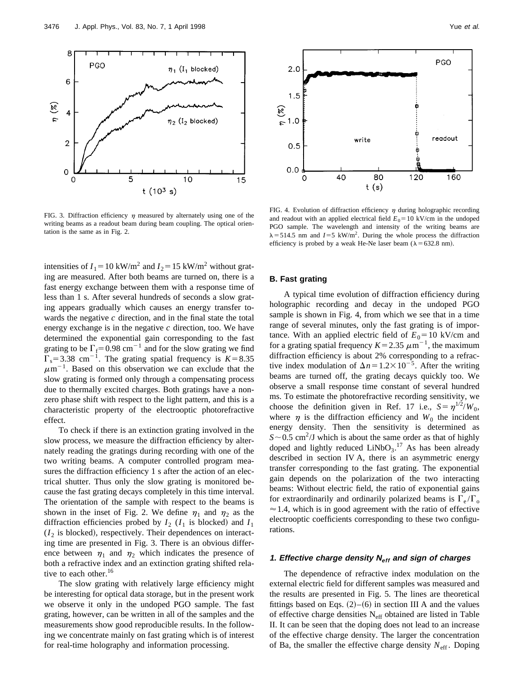

FIG. 3. Diffraction efficiency  $\eta$  measured by alternately using one of the writing beams as a readout beam during beam coupling. The optical orientation is the same as in Fig. 2.

intensities of  $I_1$ =10 kW/m<sup>2</sup> and  $I_2$ =15 kW/m<sup>2</sup> without grating are measured. After both beams are turned on, there is a fast energy exchange between them with a response time of less than 1 s. After several hundreds of seconds a slow grating appears gradually which causes an energy transfer towards the negative *c* direction, and in the final state the total energy exchange is in the negative *c* direction, too. We have determined the exponential gain corresponding to the fast grating to be  $\Gamma_f$ = 0.98 cm<sup>-1</sup> and for the slow grating we find  $\Gamma_s$ =3.38 cm<sup>-1</sup>. The grating spatial frequency is *K*=8.35  $\mu$ m<sup>-1</sup>. Based on this observation we can exclude that the slow grating is formed only through a compensating process due to thermally excited charges. Both gratings have a nonzero phase shift with respect to the light pattern, and this is a characteristic property of the electrooptic photorefractive effect.

To check if there is an extinction grating involved in the slow process, we measure the diffraction efficiency by alternately reading the gratings during recording with one of the two writing beams. A computer controlled program measures the diffraction efficiency 1 s after the action of an electrical shutter. Thus only the slow grating is monitored because the fast grating decays completely in this time interval. The orientation of the sample with respect to the beams is shown in the inset of Fig. 2. We define  $\eta_1$  and  $\eta_2$  as the diffraction efficiencies probed by  $I_2$  ( $I_1$  is blocked) and  $I_1$  $(I_2$  is blocked), respectively. Their dependences on interacting time are presented in Fig. 3. There is an obvious difference between  $\eta_1$  and  $\eta_2$  which indicates the presence of both a refractive index and an extinction grating shifted relative to each other.<sup>16</sup>

The slow grating with relatively large efficiency might be interesting for optical data storage, but in the present work we observe it only in the undoped PGO sample. The fast grating, however, can be written in all of the samples and the measurements show good reproducible results. In the following we concentrate mainly on fast grating which is of interest for real-time holography and information processing.



FIG. 4. Evolution of diffraction efficiency  $\eta$  during holographic recording and readout with an applied electrical field  $E_0 = 10 \text{ kV/cm}$  in the undoped PGO sample. The wavelength and intensity of the writing beams are  $\lambda$ =514.5 nm and *I*=5 kW/m<sup>2</sup>. During the whole process the diffraction efficiency is probed by a weak He-Ne laser beam ( $\lambda$  = 632.8 nm).

#### **B. Fast grating**

A typical time evolution of diffraction efficiency during holographic recording and decay in the undoped PGO sample is shown in Fig. 4, from which we see that in a time range of several minutes, only the fast grating is of importance. With an applied electric field of  $E_0 = 10 \text{ kV/cm}$  and for a grating spatial frequency  $K=2.35 \ \mu m^{-1}$ , the maximum diffraction efficiency is about 2% corresponding to a refractive index modulation of  $\Delta n = 1.2 \times 10^{-5}$ . After the writing beams are turned off, the grating decays quickly too. We observe a small response time constant of several hundred ms. To estimate the photorefractive recording sensitivity, we choose the definition given in Ref. 17 i.e.,  $S = \eta^{1/2}/W_0$ , where  $\eta$  is the diffraction efficiency and  $W_0$  the incident energy density. Then the sensitivity is determined as  $S \sim 0.5$  cm<sup>2</sup>/J which is about the same order as that of highly doped and lightly reduced  $LiNbO<sub>3</sub>$ .<sup>17</sup> As has been already described in section IV A, there is an asymmetric energy transfer corresponding to the fast grating. The exponential gain depends on the polarization of the two interacting beams: Without electric field, the ratio of exponential gains for extraordinarily and ordinarily polarized beams is  $\Gamma_e/\Gamma_o$  $\approx$  1.4, which is in good agreement with the ratio of effective electrooptic coefficients corresponding to these two configurations.

# **1. Effective charge density Neff and sign of charges**

The dependence of refractive index modulation on the external electric field for different samples was measured and the results are presented in Fig. 5. The lines are theoretical fittings based on Eqs.  $(2)$ – $(6)$  in section III A and the values of effective charge densities Neff obtained are listed in Table II. It can be seen that the doping does not lead to an increase of the effective charge density. The larger the concentration of Ba, the smaller the effective charge density  $N_{\text{eff}}$ . Doping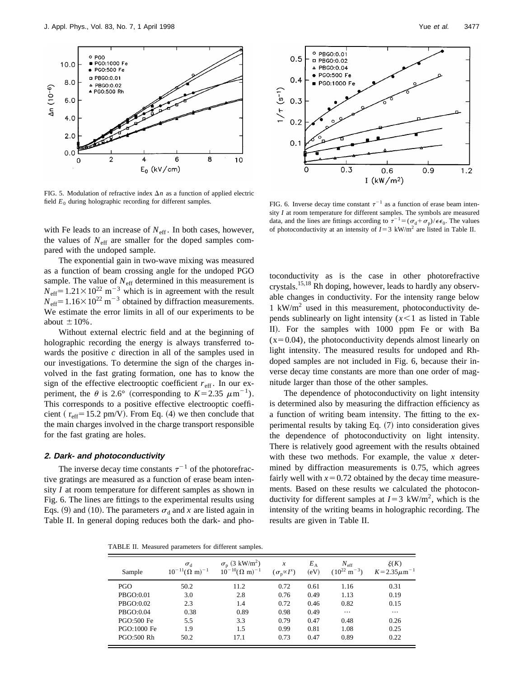

FIG. 5. Modulation of refractive index  $\Delta n$  as a function of applied electric field  $E_0$  during holographic recording for different samples. FIG. 6. Inverse decay time constant  $\tau^{-1}$  as a function of erase beam inten-

with Fe leads to an increase of  $N_{\text{eff}}$ . In both cases, however, the values of  $N_{\text{eff}}$  are smaller for the doped samples compared with the undoped sample.

The exponential gain in two-wave mixing was measured as a function of beam crossing angle for the undoped PGO sample. The value of  $N_{\text{eff}}$  determined in this measurement is  $N_{\text{eff}}$ =1.21×10<sup>22</sup> m<sup>-3</sup> which is in agreement with the result  $N_{\text{eff}}$ =1.16 $\times$ 10<sup>22</sup> m<sup>-3</sup> obtained by diffraction measurements. We estimate the error limits in all of our experiments to be about  $\pm 10\%$ .

Without external electric field and at the beginning of holographic recording the energy is always transferred towards the positive *c* direction in all of the samples used in our investigations. To determine the sign of the charges involved in the fast grating formation, one has to know the sign of the effective electrooptic coefficient  $r_{\text{eff}}$ . In our experiment, the  $\theta$  is 2.6° (corresponding to  $K=2.35 \ \mu m^{-1}$ ). This corresponds to a positive effective electrooptic coefficient ( $r_{\text{eff}}$ =15.2 pm/V). From Eq. (4) we then conclude that the main charges involved in the charge transport responsible for the fast grating are holes.

# **2. Dark- and photoconductivity**

The inverse decay time constants  $\tau^{-1}$  of the photorefractive gratings are measured as a function of erase beam intensity *I* at room temperature for different samples as shown in Fig. 6. The lines are fittings to the experimental results using Eqs. (9) and (10). The parameters  $\sigma_d$  and *x* are listed again in Table II. In general doping reduces both the dark- and pho-



sity *I* at room temperature for different samples. The symbols are measured data, and the lines are fittings according to  $\sigma^{-1} = (\sigma_d + \sigma_p)/\epsilon \epsilon_0$ . The values of photoconductivity at an intensity of  $I=3$  kW/m<sup>2</sup> are listed in Table II.

toconductivity as is the case in other photorefractive crystals.15,18 Rh doping, however, leads to hardly any observable changes in conductivity. For the intensity range below 1 kW/m<sup>2</sup> used in this measurement, photoconductivity depends sublinearly on light intensity  $(x<1)$  as listed in Table II). For the samples with 1000 ppm Fe or with Ba  $(x=0.04)$ , the photoconductivity depends almost linearly on light intensity. The measured results for undoped and Rhdoped samples are not included in Fig. 6, because their inverse decay time constants are more than one order of magnitude larger than those of the other samples.

The dependence of photoconductivity on light intensity is determined also by measuring the diffraction efficiency as a function of writing beam intensity. The fitting to the experimental results by taking Eq.  $(7)$  into consideration gives the dependence of photoconductivity on light intensity. There is relatively good agreement with the results obtained with these two methods. For example, the value *x* determined by diffraction measurements is 0.75, which agrees fairly well with  $x=0.72$  obtained by the decay time measurements. Based on these results we calculated the photoconductivity for different samples at  $I=3$  kW/m<sup>2</sup>, which is the intensity of the writing beams in holographic recording. The results are given in Table II.

TABLE II. Measured parameters for different samples.

| Sample            | $\sigma_{\rm d}$<br>$10^{-11}(\Omega \text{ m})^{-1}$ | $\sigma_{\rm p}$ (3 kW/m <sup>2</sup> )<br>$^{-10}$ ( $\Omega$ m) <sup>-1</sup><br>$10^{-}$ | $\boldsymbol{\chi}$<br>$(\sigma_{p} \propto I^{x})$ | $E_A$<br>(eV) | $N_{\rm eff}$<br>$(10^{22} \text{ m}^{-3})$ | $\xi(K)$<br>$K = 2.35 \mu m^{-1}$ |
|-------------------|-------------------------------------------------------|---------------------------------------------------------------------------------------------|-----------------------------------------------------|---------------|---------------------------------------------|-----------------------------------|
| <b>PGO</b>        | 50.2                                                  | 11.2                                                                                        | 0.72                                                | 0.61          | 1.16                                        | 0.31                              |
| PBGO:0.01         | 3.0                                                   | 2.8                                                                                         | 0.76                                                | 0.49          | 1.13                                        | 0.19                              |
| PBGO:0.02         | 2.3                                                   | 1.4                                                                                         | 0.72                                                | 0.46          | 0.82                                        | 0.15                              |
| PBGO:0.04         | 0.38                                                  | 0.89                                                                                        | 0.98                                                | 0.49          | $\cdots$                                    | $\cdots$                          |
| PGO:500 Fe        | 5.5                                                   | 3.3                                                                                         | 0.79                                                | 0.47          | 0.48                                        | 0.26                              |
| PGO:1000 Fe       | 1.9                                                   | 1.5                                                                                         | 0.99                                                | 0.81          | 1.08                                        | 0.25                              |
| <b>PGO:500 Rh</b> | 50.2                                                  | 17.1                                                                                        | 0.73                                                | 0.47          | 0.89                                        | 0.22                              |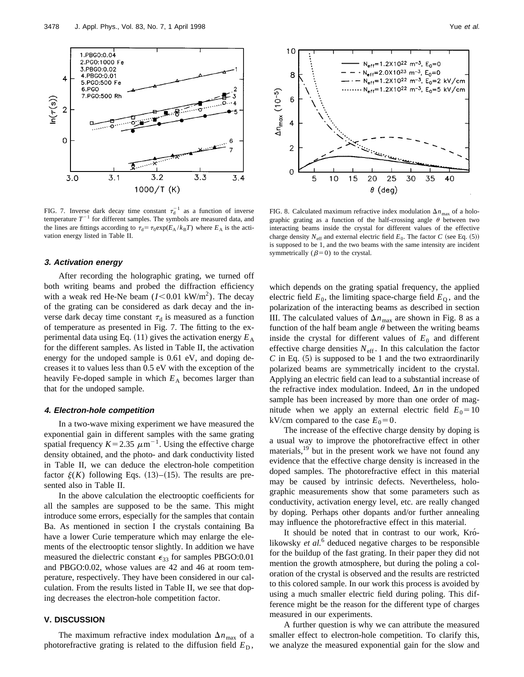

FIG. 7. Inverse dark decay time constant  $\tau_d^{-1}$  as a function of inverse temperature  $T^{-1}$  for different samples. The symbols are measured data, and the lines are fittings according to  $\tau_d = \tau_0 \exp(E_A / k_B T)$  where  $E_A$  is the activation energy listed in Table II.

#### **3. Activation energy**

After recording the holographic grating, we turned off both writing beams and probed the diffraction efficiency with a weak red He-Ne beam  $(I<0.01 \text{ kW/m}^2)$ . The decay of the grating can be considered as dark decay and the inverse dark decay time constant  $\tau_d$  is measured as a function of temperature as presented in Fig. 7. The fitting to the experimental data using Eq.  $(11)$  gives the activation energy  $E_A$ for the different samples. As listed in Table II, the activation energy for the undoped sample is 0.61 eV, and doping decreases it to values less than 0.5 eV with the exception of the heavily Fe-doped sample in which  $E_A$  becomes larger than that for the undoped sample.

# **4. Electron-hole competition**

In a two-wave mixing experiment we have measured the exponential gain in different samples with the same grating spatial frequency  $K=2.35 \ \mu m^{-1}$ . Using the effective charge density obtained, and the photo- and dark conductivity listed in Table II, we can deduce the electron-hole competition factor  $\xi(K)$  following Eqs. (13)–(15). The results are presented also in Table II.

In the above calculation the electrooptic coefficients for all the samples are supposed to be the same. This might introduce some errors, especially for the samples that contain Ba. As mentioned in section I the crystals containing Ba have a lower Curie temperature which may enlarge the elements of the electrooptic tensor slightly. In addition we have measured the dielectric constant  $\epsilon_{33}$  for samples PBGO:0.01 and PBGO:0.02, whose values are 42 and 46 at room temperature, respectively. They have been considered in our calculation. From the results listed in Table II, we see that doping decreases the electron-hole competition factor.

# **V. DISCUSSION**

The maximum refractive index modulation  $\Delta n_{\text{max}}$  of a photorefractive grating is related to the diffusion field  $E_D$ ,



FIG. 8. Calculated maximum refractive index modulation  $\Delta n_{\text{max}}$  of a holographic grating as a function of the half-crossing angle  $\theta$  between two interacting beams inside the crystal for different values of the effective charge density  $N_{\text{eff}}$  and external electric field  $E_0$ . The factor *C* (see Eq. (5)) is supposed to be 1, and the two beams with the same intensity are incident symmetrically ( $\beta$ =0) to the crystal.

which depends on the grating spatial frequency, the applied electric field  $E_0$ , the limiting space-charge field  $E_0$ , and the polarization of the interacting beams as described in section III. The calculated values of  $\Delta n_{\text{max}}$  are shown in Fig. 8 as a function of the half beam angle  $\theta$  between the writing beams inside the crystal for different values of  $E_0$  and different effective charge densities  $N_{\text{eff}}$ . In this calculation the factor  $C$  in Eq.  $(5)$  is supposed to be 1 and the two extraordinarily polarized beams are symmetrically incident to the crystal. Applying an electric field can lead to a substantial increase of the refractive index modulation. Indeed,  $\Delta n$  in the undoped sample has been increased by more than one order of magnitude when we apply an external electric field  $E_0 = 10$ kV/cm compared to the case  $E_0=0$ .

The increase of the effective charge density by doping is a usual way to improve the photorefractive effect in other materials,<sup>19</sup> but in the present work we have not found any evidence that the effective charge density is increased in the doped samples. The photorefractive effect in this material may be caused by intrinsic defects. Nevertheless, holographic measurements show that some parameters such as conductivity, activation energy level, etc. are really changed by doping. Perhaps other dopants and/or further annealing may influence the photorefractive effect in this material.

It should be noted that in contrast to our work, Krolikowsky *et al.*<sup>6</sup> deduced negative charges to be responsible for the buildup of the fast grating. In their paper they did not mention the growth atmosphere, but during the poling a coloration of the crystal is observed and the results are restricted to this colored sample. In our work this process is avoided by using a much smaller electric field during poling. This difference might be the reason for the different type of charges measured in our experiments.

A further question is why we can attribute the measured smaller effect to electron-hole competition. To clarify this, we analyze the measured exponential gain for the slow and